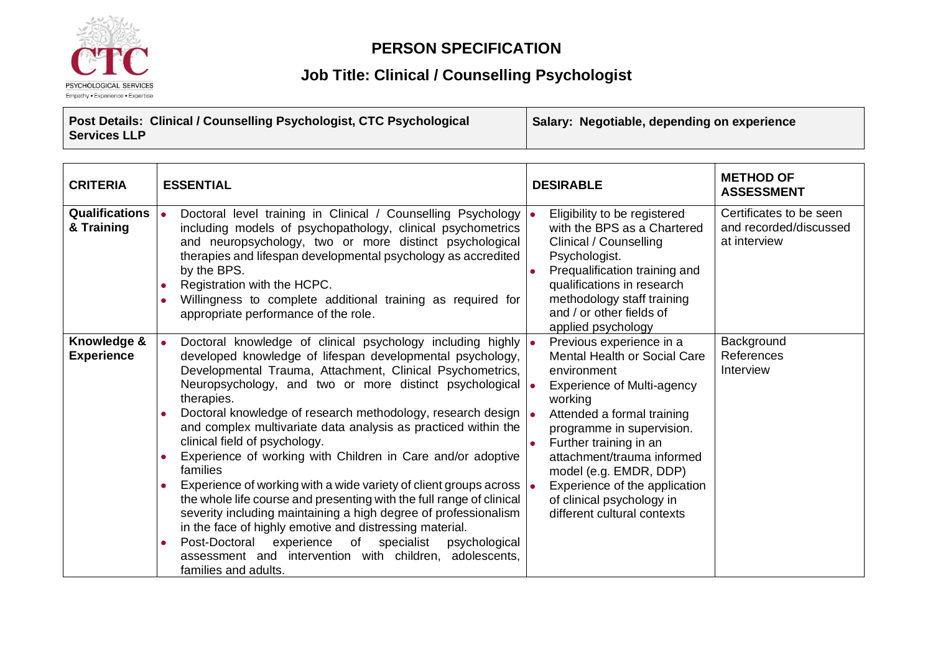

### **PERSON SPECIFICATION**

## **Job Title: Clinical / Counselling Psychologist**

**Post Details: Clinical / Counselling Psychologist, CTC Psychological Services LLP Salary: Negotiable, depending on experience**

| <b>CRITERIA</b>                       | <b>ESSENTIAL</b>                                                                                                                                                                                                                                                                                                                                                                                                                                                                                                                                                                                                                                                                                                                                                                                                                                                                                                                                                                | <b>DESIRABLE</b>                                                                                                                                                                                                                                                                                                                                                         | <b>METHOD OF</b><br><b>ASSESSMENT</b>                             |
|---------------------------------------|---------------------------------------------------------------------------------------------------------------------------------------------------------------------------------------------------------------------------------------------------------------------------------------------------------------------------------------------------------------------------------------------------------------------------------------------------------------------------------------------------------------------------------------------------------------------------------------------------------------------------------------------------------------------------------------------------------------------------------------------------------------------------------------------------------------------------------------------------------------------------------------------------------------------------------------------------------------------------------|--------------------------------------------------------------------------------------------------------------------------------------------------------------------------------------------------------------------------------------------------------------------------------------------------------------------------------------------------------------------------|-------------------------------------------------------------------|
| <b>Qualifications  </b><br>& Training | Doctoral level training in Clinical / Counselling Psychology<br>including models of psychopathology, clinical psychometrics<br>and neuropsychology, two or more distinct psychological<br>therapies and lifespan developmental psychology as accredited<br>by the BPS.<br>Registration with the HCPC.<br>Willingness to complete additional training as required for<br>appropriate performance of the role.                                                                                                                                                                                                                                                                                                                                                                                                                                                                                                                                                                    | Eligibility to be registered<br>with the BPS as a Chartered<br>Clinical / Counselling<br>Psychologist.<br>Prequalification training and<br>qualifications in research<br>methodology staff training<br>and / or other fields of<br>applied psychology                                                                                                                    | Certificates to be seen<br>and recorded/discussed<br>at interview |
| Knowledge &<br><b>Experience</b>      | Doctoral knowledge of clinical psychology including highly<br>$\bullet$<br>developed knowledge of lifespan developmental psychology,<br>Developmental Trauma, Attachment, Clinical Psychometrics,<br>Neuropsychology, and two or more distinct psychological<br>therapies.<br>Doctoral knowledge of research methodology, research design  .<br>and complex multivariate data analysis as practiced within the<br>clinical field of psychology.<br>Experience of working with Children in Care and/or adoptive<br>families<br>Experience of working with a wide variety of client groups across $\vert \bullet \vert$<br>the whole life course and presenting with the full range of clinical<br>severity including maintaining a high degree of professionalism<br>in the face of highly emotive and distressing material.<br>experience of<br>specialist<br>Post-Doctoral<br>psychological<br>assessment and intervention with children, adolescents,<br>families and adults. | Previous experience in a<br><b>Mental Health or Social Care</b><br>environment<br><b>Experience of Multi-agency</b><br>working<br>Attended a formal training<br>programme in supervision.<br>Further training in an<br>attachment/trauma informed<br>model (e.g. EMDR, DDP)<br>Experience of the application<br>of clinical psychology in<br>different cultural contexts | Background<br>References<br>Interview                             |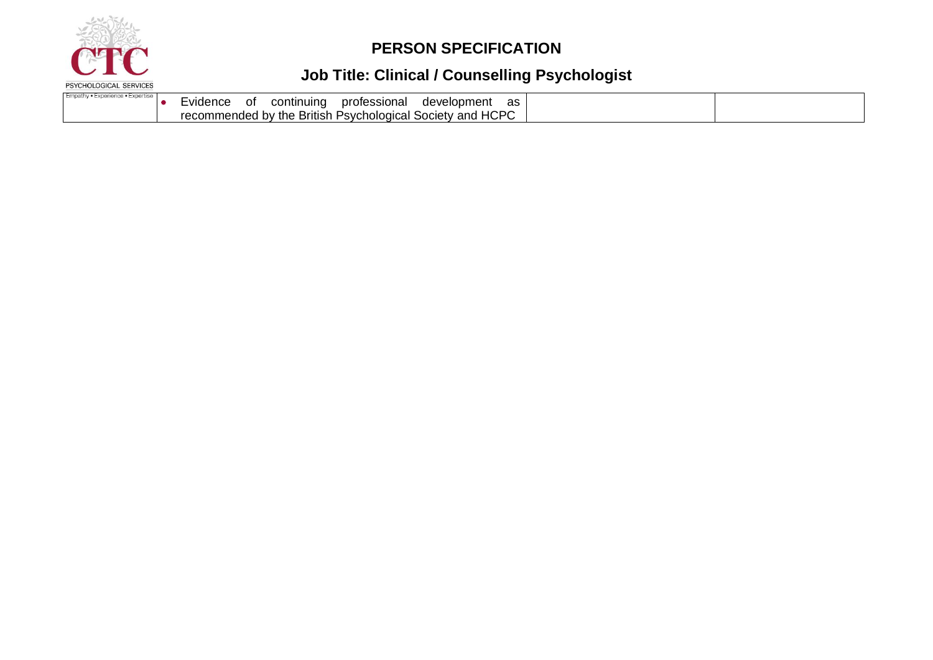

## **PERSON SPECIFICATION**

# **Job Title: Clinical / Counselling Psychologist**

| Empathy • Experience • Expertise | .<br>Evidence | Οt | continuing | professional | development                                               | as |  |
|----------------------------------|---------------|----|------------|--------------|-----------------------------------------------------------|----|--|
|                                  |               |    |            |              | recommended by the British Psychological Society and HCPC |    |  |